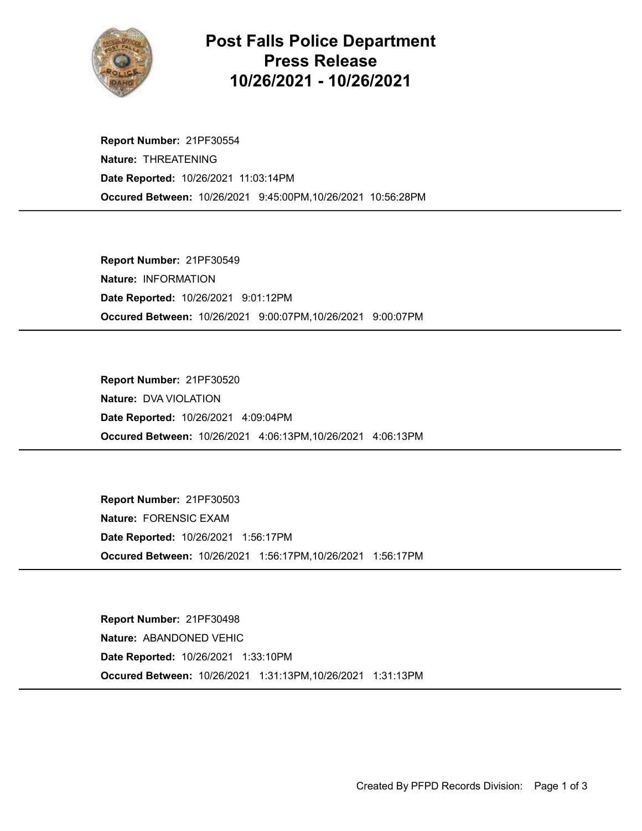

## Post Falls Police Department Press Release 10/26/2021 - 10/26/2021

Occured Between: 10/26/2021 9:45:00PM,10/26/2021 10:56:28PM Report Number: 21PF30554 Nature: THREATENING Date Reported: 10/26/2021 11:03:14PM

Occured Between: 10/26/2021 9:00:07PM,10/26/2021 9:00:07PM Report Number: 21PF30549 Nature: INFORMATION Date Reported: 10/26/2021 9:01:12PM

Occured Between: 10/26/2021 4:06:13PM,10/26/2021 4:06:13PM Report Number: 21PF30520 Nature: DVA VIOLATION Date Reported: 10/26/2021 4:09:04PM

Occured Between: 10/26/2021 1:56:17PM,10/26/2021 1:56:17PM Report Number: 21PF30503 Nature: FORENSIC EXAM Date Reported: 10/26/2021 1:56:17PM

Occured Between: 10/26/2021 1:31:13PM,10/26/2021 1:31:13PM Report Number: 21PF30498 Nature: ABANDONED VEHIC Date Reported: 10/26/2021 1:33:10PM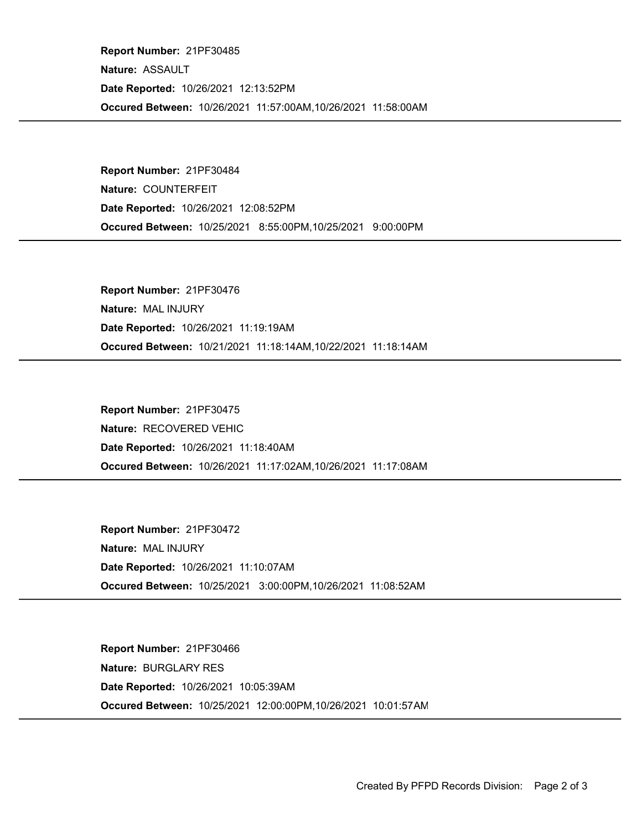Occured Between: 10/26/2021 11:57:00AM,10/26/2021 11:58:00AM Report Number: 21PF30485 Nature: ASSAULT Date Reported: 10/26/2021 12:13:52PM

Occured Between: 10/25/2021 8:55:00PM,10/25/2021 9:00:00PM Report Number: 21PF30484 Nature: COUNTERFEIT Date Reported: 10/26/2021 12:08:52PM

Occured Between: 10/21/2021 11:18:14AM,10/22/2021 11:18:14AM Report Number: 21PF30476 Nature: MAL INJURY Date Reported: 10/26/2021 11:19:19AM

Occured Between: 10/26/2021 11:17:02AM,10/26/2021 11:17:08AM Report Number: 21PF30475 Nature: RECOVERED VEHIC Date Reported: 10/26/2021 11:18:40AM

Occured Between: 10/25/2021 3:00:00PM,10/26/2021 11:08:52AM Report Number: 21PF30472 Nature: MAL INJURY Date Reported: 10/26/2021 11:10:07AM

Occured Between: 10/25/2021 12:00:00PM,10/26/2021 10:01:57AM Report Number: 21PF30466 Nature: BURGLARY RES Date Reported: 10/26/2021 10:05:39AM